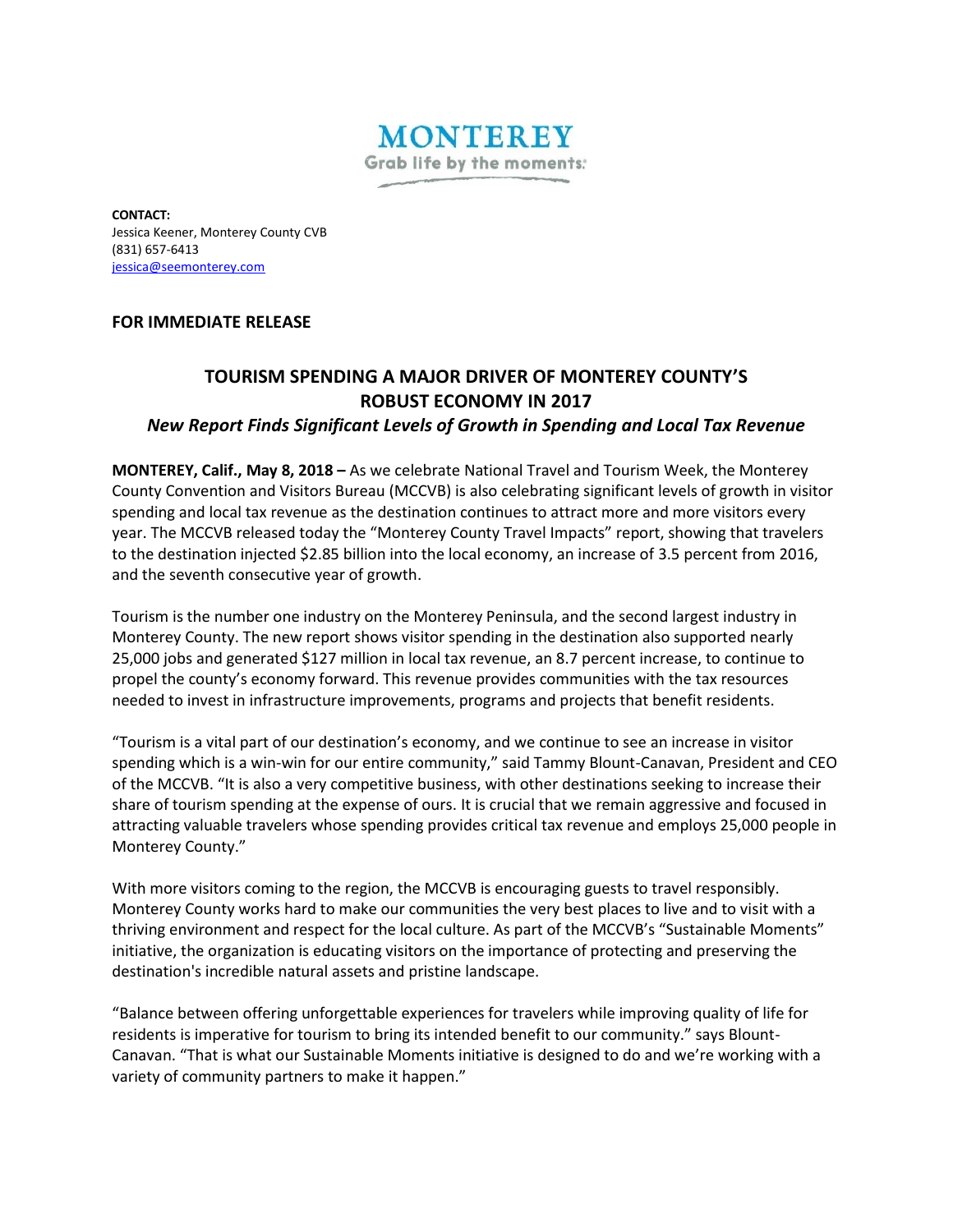

**CONTACT:** Jessica Keener, Monterey County CVB (831) 657-6413 [jessica@seemonterey.com](mailto:jessica@seemonterey.com)

## **FOR IMMEDIATE RELEASE**

## **TOURISM SPENDING A MAJOR DRIVER OF MONTEREY COUNTY'S ROBUST ECONOMY IN 2017** *New Report Finds Significant Levels of Growth in Spending and Local Tax Revenue*

**MONTEREY, Calif., May 8, 2018 –** As we celebrate National Travel and Tourism Week, the Monterey County Convention and Visitors Bureau (MCCVB) is also celebrating significant levels of growth in visitor spending and local tax revenue as the destination continues to attract more and more visitors every year. The MCCVB released today the "Monterey County Travel Impacts" report, showing that travelers to the destination injected \$2.85 billion into the local economy, an increase of 3.5 percent from 2016, and the seventh consecutive year of growth.

Tourism is the number one industry on the Monterey Peninsula, and the second largest industry in Monterey County. The new report shows visitor spending in the destination also supported nearly 25,000 jobs and generated \$127 million in local tax revenue, an 8.7 percent increase, to continue to propel the county's economy forward. This revenue provides communities with the tax resources needed to invest in infrastructure improvements, programs and projects that benefit residents.

"Tourism is a vital part of our destination's economy, and we continue to see an increase in visitor spending which is a win-win for our entire community," said Tammy Blount-Canavan, President and CEO of the MCCVB. "It is also a very competitive business, with other destinations seeking to increase their share of tourism spending at the expense of ours. It is crucial that we remain aggressive and focused in attracting valuable travelers whose spending provides critical tax revenue and employs 25,000 people in Monterey County."

With more visitors coming to the region, the MCCVB is encouraging guests to travel responsibly. Monterey County works hard to make our communities the very best places to live and to visit with a thriving environment and respect for the local culture. As part of the MCCVB's "Sustainable Moments" initiative, the organization is educating visitors on the importance of protecting and preserving the destination's incredible natural assets and pristine landscape.

"Balance between offering unforgettable experiences for travelers while improving quality of life for residents is imperative for tourism to bring its intended benefit to our community." says Blount-Canavan. "That is what our Sustainable Moments initiative is designed to do and we're working with a variety of community partners to make it happen."